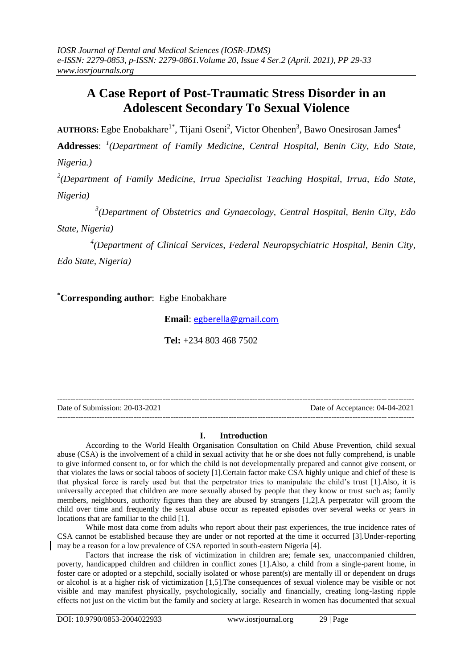# **A Case Report of Post-Traumatic Stress Disorder in an Adolescent Secondary To Sexual Violence**

AUTHORS: Egbe Enobakhare<sup>1\*</sup>, Tijani Oseni<sup>2</sup>, Victor Ohenhen<sup>3</sup>, Bawo Onesirosan James<sup>4</sup>

**Addresses**: *1 (Department of Family Medicine, Central Hospital, Benin City, Edo State,* 

*Nigeria.)*

<sup>2</sup>(Department of Family Medicine, Irrua Specialist Teaching Hospital, Irrua, Edo State, *Nigeria)*

 *3* <sup>3</sup>(Department of Obstetrics and Gynaecology, Central Hospital, Benin City, Edo

*State, Nigeria)*

<sup>4</sup>(Department of Clinical Services, Federal Neuropsychiatric Hospital, Benin City,

*Edo State, Nigeria)*

**\*Corresponding author**: Egbe Enobakhare

 **Email**: [egberella@gmail.com](mailto:egberella@gmail.com)

 **Tel:** +234 803 468 7502

--------------------------------------------------------------------------------------------------------------------------------------- Date of Submission: 20-03-2021 Date of Acceptance: 04-04-2021 ---------------------------------------------------------------------------------------------------------------------------------------

# **I. Introduction**

According to the World Health Organisation Consultation on Child Abuse Prevention, child sexual abuse (CSA) is the involvement of a child in sexual activity that he or she does not fully comprehend, is unable to give informed consent to, or for which the child is not developmentally prepared and cannot give consent, or that violates the laws or social taboos of society [1].Certain factor make CSA highly unique and chief of these is that physical force is rarely used but that the perpetrator tries to manipulate the child's trust [1].Also, it is universally accepted that children are more sexually abused by people that they know or trust such as; family members, neighbours, authority figures than they are abused by strangers [1,2].A perpetrator will groom the child over time and frequently the sexual abuse occur as repeated episodes over several weeks or years in locations that are familiar to the child [1].

While most data come from adults who report about their past experiences, the true incidence rates of CSA cannot be established because they are under or not reported at the time it occurred [3].Under-reporting may be a reason for a low prevalence of CSA reported in south-eastern Nigeria [4].

Factors that increase the risk of victimization in children are; female sex, unaccompanied children, poverty, handicapped children and children in conflict zones [1].Also, a child from a single-parent home, in foster care or adopted or a stepchild, socially isolated or whose parent(s) are mentally ill or dependent on drugs or alcohol is at a higher risk of victimization [1,5].The consequences of sexual violence may be visible or not visible and may manifest physically, psychologically, socially and financially, creating long-lasting ripple effects not just on the victim but the family and society at large. Research in women has documented that sexual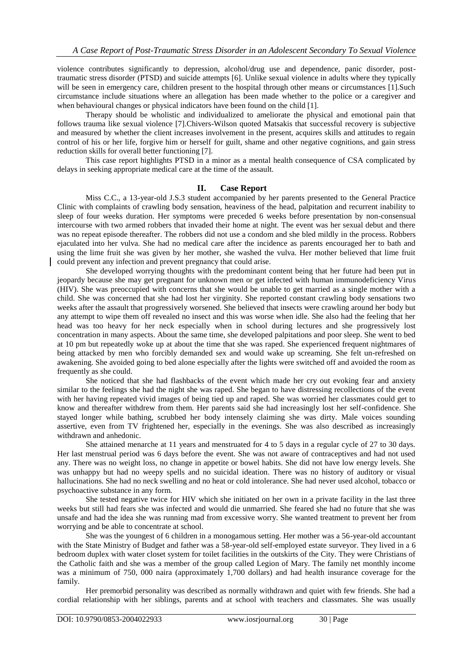violence contributes significantly to depression, alcohol/drug use and dependence, panic disorder, posttraumatic stress disorder (PTSD) and suicide attempts [6]. Unlike sexual violence in adults where they typically will be seen in emergency care, children present to the hospital through other means or circumstances [1]. Such circumstance include situations where an allegation has been made whether to the police or a caregiver and when behavioural changes or physical indicators have been found on the child [1].

Therapy should be wholistic and individualized to ameliorate the physical and emotional pain that follows trauma like sexual violence [7].Chivers-Wilson quoted Matsakis that successful recovery is subjective and measured by whether the client increases involvement in the present, acquires skills and attitudes to regain control of his or her life, forgive him or herself for guilt, shame and other negative cognitions, and gain stress reduction skills for overall better functioning [7].

This case report highlights PTSD in a minor as a mental health consequence of CSA complicated by delays in seeking appropriate medical care at the time of the assault.

## **II. Case Report**

Miss C.C., a 13-year-old J.S.3 student accompanied by her parents presented to the General Practice Clinic with complaints of crawling body sensation, heaviness of the head, palpitation and recurrent inability to sleep of four weeks duration. Her symptoms were preceded 6 weeks before presentation by non-consensual intercourse with two armed robbers that invaded their home at night. The event was her sexual debut and there was no repeat episode thereafter. The robbers did not use a condom and she bled mildly in the process. Robbers ejaculated into her vulva. She had no medical care after the incidence as parents encouraged her to bath and using the lime fruit she was given by her mother, she washed the vulva. Her mother believed that lime fruit could prevent any infection and prevent pregnancy that could arise.

She developed worrying thoughts with the predominant content being that her future had been put in jeopardy because she may get pregnant for unknown men or get infected with human immunodeficiency Virus (HIV). She was preoccupied with concerns that she would be unable to get married as a single mother with a child. She was concerned that she had lost her virginity. She reported constant crawling body sensations two weeks after the assault that progressively worsened. She believed that insects were crawling around her body but any attempt to wipe them off revealed no insect and this was worse when idle. She also had the feeling that her head was too heavy for her neck especially when in school during lectures and she progressively lost concentration in many aspects. About the same time, she developed palpitations and poor sleep. She went to bed at 10 pm but repeatedly woke up at about the time that she was raped. She experienced frequent nightmares of being attacked by men who forcibly demanded sex and would wake up screaming. She felt un-refreshed on awakening. She avoided going to bed alone especially after the lights were switched off and avoided the room as frequently as she could.

She noticed that she had flashbacks of the event which made her cry out evoking fear and anxiety similar to the feelings she had the night she was raped. She began to have distressing recollections of the event with her having repeated vivid images of being tied up and raped. She was worried her classmates could get to know and thereafter withdrew from them. Her parents said she had increasingly lost her self-confidence. She stayed longer while bathing, scrubbed her body intensely claiming she was dirty. Male voices sounding assertive, even from TV frightened her, especially in the evenings. She was also described as increasingly withdrawn and anhedonic.

She attained menarche at 11 years and menstruated for 4 to 5 days in a regular cycle of 27 to 30 days. Her last menstrual period was 6 days before the event. She was not aware of contraceptives and had not used any. There was no weight loss, no change in appetite or bowel habits. She did not have low energy levels. She was unhappy but had no weepy spells and no suicidal ideation. There was no history of auditory or visual hallucinations. She had no neck swelling and no heat or cold intolerance. She had never used alcohol, tobacco or psychoactive substance in any form.

She tested negative twice for HIV which she initiated on her own in a private facility in the last three weeks but still had fears she was infected and would die unmarried. She feared she had no future that she was unsafe and had the idea she was running mad from excessive worry. She wanted treatment to prevent her from worrying and be able to concentrate at school.

She was the youngest of 6 children in a monogamous setting. Her mother was a 56-year-old accountant with the State Ministry of Budget and father was a 58-year-old self-employed estate surveyor. They lived in a 6 bedroom duplex with water closet system for toilet facilities in the outskirts of the City. They were Christians of the Catholic faith and she was a member of the group called Legion of Mary. The family net monthly income was a minimum of 750, 000 naira (approximately 1,700 dollars) and had health insurance coverage for the family.

Her premorbid personality was described as normally withdrawn and quiet with few friends. She had a cordial relationship with her siblings, parents and at school with teachers and classmates. She was usually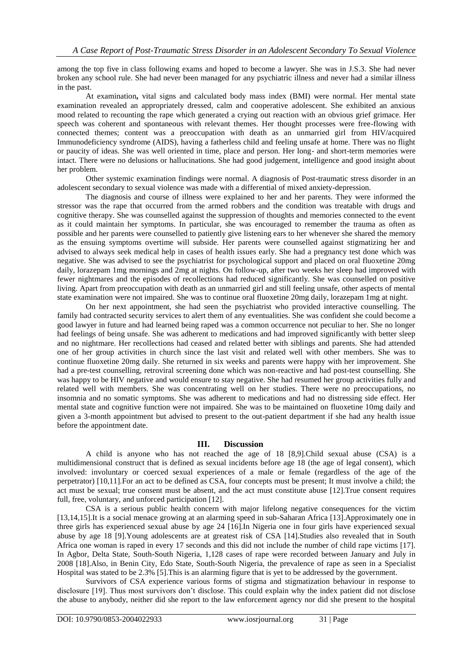among the top five in class following exams and hoped to become a lawyer. She was in J.S.3. She had never broken any school rule. She had never been managed for any psychiatric illness and never had a similar illness in the past.

At examination**,** vital signs and calculated body mass index (BMI) were normal. Her mental state examination revealed an appropriately dressed, calm and cooperative adolescent. She exhibited an anxious mood related to recounting the rape which generated a crying out reaction with an obvious grief grimace. Her speech was coherent and spontaneous with relevant themes. Her thought processes were free-flowing with connected themes; content was a preoccupation with death as an unmarried girl from HIV/acquired Immunodeficiency syndrome (AIDS), having a fatherless child and feeling unsafe at home. There was no flight or paucity of ideas. She was well oriented in time, place and person. Her long- and short-term memories were intact. There were no delusions or hallucinations. She had good judgement, intelligence and good insight about her problem.

Other systemic examination findings were normal. A diagnosis of Post-traumatic stress disorder in an adolescent secondary to sexual violence was made with a differential of mixed anxiety-depression.

The diagnosis and course of illness were explained to her and her parents. They were informed the stressor was the rape that occurred from the armed robbers and the condition was treatable with drugs and cognitive therapy. She was counselled against the suppression of thoughts and memories connected to the event as it could maintain her symptoms. In particular, she was encouraged to remember the trauma as often as possible and her parents were counselled to patiently give listening ears to her whenever she shared the memory as the ensuing symptoms overtime will subside. Her parents were counselled against stigmatizing her and advised to always seek medical help in cases of health issues early. She had a pregnancy test done which was negative. She was advised to see the psychiatrist for psychological support and placed on oral fluoxetine 20mg daily, lorazepam 1mg mornings and 2mg at nights. On follow-up, after two weeks her sleep had improved with fewer nightmares and the episodes of recollections had reduced significantly. She was counselled on positive living. Apart from preoccupation with death as an unmarried girl and still feeling unsafe, other aspects of mental state examination were not impaired. She was to continue oral fluoxetine 20mg daily, lorazepam 1mg at night.

On her next appointment, she had seen the psychiatrist who provided interactive counselling. The family had contracted security services to alert them of any eventualities. She was confident she could become a good lawyer in future and had learned being raped was a common occurrence not peculiar to her. She no longer had feelings of being unsafe. She was adherent to medications and had improved significantly with better sleep and no nightmare. Her recollections had ceased and related better with siblings and parents. She had attended one of her group activities in church since the last visit and related well with other members. She was to continue fluoxetine 20mg daily. She returned in six weeks and parents were happy with her improvement. She had a pre-test counselling, retroviral screening done which was non-reactive and had post-test counselling. She was happy to be HIV negative and would ensure to stay negative. She had resumed her group activities fully and related well with members. She was concentrating well on her studies. There were no preoccupations, no insomnia and no somatic symptoms. She was adherent to medications and had no distressing side effect. Her mental state and cognitive function were not impaired. She was to be maintained on fluoxetine 10mg daily and given a 3-month appointment but advised to present to the out-patient department if she had any health issue before the appointment date.

## **III. Discussion**

A child is anyone who has not reached the age of 18 [8,9].Child sexual abuse (CSA) is a multidimensional construct that is defined as sexual incidents before age 18 (the age of legal consent), which involved: involuntary or coerced sexual experiences of a male or female (regardless of the age of the perpetrator) [10,11].For an act to be defined as CSA, four concepts must be present; It must involve a child; the act must be sexual; true consent must be absent, and the act must constitute abuse [12].True consent requires full, free, voluntary, and unforced participation [12].

CSA is a serious public health concern with major lifelong negative consequences for the victim [13,14,15].It is a social menace growing at an alarming speed in sub-Saharan Africa [13].Approximately one in three girls has experienced sexual abuse by age 24 [16].In Nigeria one in four girls have experienced sexual abuse by age 18 [9].Young adolescents are at greatest risk of CSA [14].Studies also revealed that in South Africa one woman is raped in every 17 seconds and this did not include the number of child rape victims [17]. In Agbor, Delta State, South-South Nigeria, 1,128 cases of rape were recorded between January and July in 2008 [18].Also, in Benin City, Edo State, South-South Nigeria, the prevalence of rape as seen in a Specialist Hospital was stated to be 2.3% [5].This is an alarming figure that is yet to be addressed by the government.

Survivors of CSA experience various forms of stigma and stigmatization behaviour in response to disclosure [19]. Thus most survivors don't disclose. This could explain why the index patient did not disclose the abuse to anybody, neither did she report to the law enforcement agency nor did she present to the hospital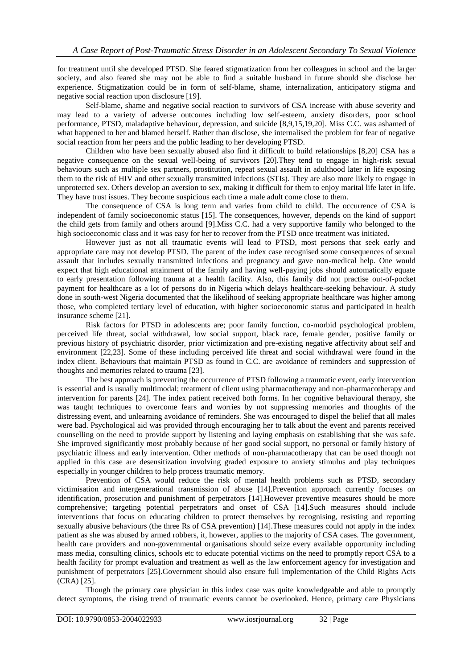for treatment until she developed PTSD. She feared stigmatization from her colleagues in school and the larger society, and also feared she may not be able to find a suitable husband in future should she disclose her experience. Stigmatization could be in form of self-blame, shame, internalization, anticipatory stigma and negative social reaction upon disclosure [19].

Self-blame, shame and negative social reaction to survivors of CSA increase with abuse severity and may lead to a variety of adverse outcomes including low self-esteem, anxiety disorders, poor school performance, PTSD, maladaptive behaviour, depression, and suicide [8,9,15,19,20]. Miss C.C. was ashamed of what happened to her and blamed herself. Rather than disclose, she internalised the problem for fear of negative social reaction from her peers and the public leading to her developing PTSD.

Children who have been sexually abused also find it difficult to build relationships [8,20] CSA has a negative consequence on the sexual well-being of survivors [20].They tend to engage in high-risk sexual behaviours such as multiple sex partners, prostitution, repeat sexual assault in adulthood later in life exposing them to the risk of HIV and other sexually transmitted infections (STIs). They are also more likely to engage in unprotected sex. Others develop an aversion to sex, making it difficult for them to enjoy marital life later in life. They have trust issues. They become suspicious each time a male adult come close to them.

The consequence of CSA is long term and varies from child to child. The occurrence of CSA is independent of family socioeconomic status [15]. The consequences, however, depends on the kind of support the child gets from family and others around [9].Miss C.C. had a very supportive family who belonged to the high socioeconomic class and it was easy for her to recover from the PTSD once treatment was initiated.

However just as not all traumatic events will lead to PTSD, most persons that seek early and appropriate care may not develop PTSD. The parent of the index case recognised some consequences of sexual assault that includes sexually transmitted infections and pregnancy and gave non-medical help. One would expect that high educational attainment of the family and having well-paying jobs should automatically equate to early presentation following trauma at a health facility. Also, this family did not practise out-of-pocket payment for healthcare as a lot of persons do in Nigeria which delays healthcare-seeking behaviour. A study done in south-west Nigeria documented that the likelihood of seeking appropriate healthcare was higher among those, who completed tertiary level of education, with higher socioeconomic status and participated in health insurance scheme [21].

Risk factors for PTSD in adolescents are; poor family function, co-morbid psychological problem, perceived life threat, social withdrawal, low social support, black race, female gender, positive family or previous history of psychiatric disorder, prior victimization and pre-existing negative affectivity about self and environment [22,23]. Some of these including perceived life threat and social withdrawal were found in the index client. Behaviours that maintain PTSD as found in C.C. are avoidance of reminders and suppression of thoughts and memories related to trauma [23].

The best approach is preventing the occurrence of PTSD following a traumatic event, early intervention is essential and is usually multimodal; treatment of client using pharmacotherapy and non-pharmacotherapy and intervention for parents [24]. The index patient received both forms. In her cognitive behavioural therapy, she was taught techniques to overcome fears and worries by not suppressing memories and thoughts of the distressing event, and unlearning avoidance of reminders. She was encouraged to dispel the belief that all males were bad. Psychological aid was provided through encouraging her to talk about the event and parents received counselling on the need to provide support by listening and laying emphasis on establishing that she was safe. She improved significantly most probably because of her good social support, no personal or family history of psychiatric illness and early intervention. Other methods of non-pharmacotherapy that can be used though not applied in this case are desensitization involving graded exposure to anxiety stimulus and play techniques especially in younger children to help process traumatic memory.

Prevention of CSA would reduce the risk of mental health problems such as PTSD, secondary victimisation and intergenerational transmission of abuse [14].Prevention approach currently focuses on identification, prosecution and punishment of perpetrators [14].However preventive measures should be more comprehensive; targeting potential perpetrators and onset of CSA [14].Such measures should include interventions that focus on educating children to protect themselves by recognising, resisting and reporting sexually abusive behaviours (the three Rs of CSA prevention) [14].These measures could not apply in the index patient as she was abused by armed robbers, it, however, applies to the majority of CSA cases. The government, health care providers and non-governmental organisations should seize every available opportunity including mass media, consulting clinics, schools etc to educate potential victims on the need to promptly report CSA to a health facility for prompt evaluation and treatment as well as the law enforcement agency for investigation and punishment of perpetrators [25].Government should also ensure full implementation of the Child Rights Acts  $(CRA)$  [25].

Though the primary care physician in this index case was quite knowledgeable and able to promptly detect symptoms, the rising trend of traumatic events cannot be overlooked. Hence, primary care Physicians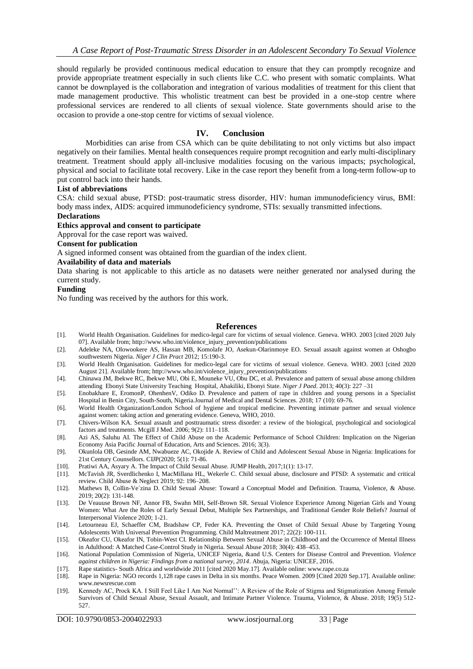should regularly be provided continuous medical education to ensure that they can promptly recognize and provide appropriate treatment especially in such clients like C.C. who present with somatic complaints. What cannot be downplayed is the collaboration and integration of various modalities of treatment for this client that made management productive. This wholistic treatment can best be provided in a one-stop centre where professional services are rendered to all clients of sexual violence. State governments should arise to the occasion to provide a one-stop centre for victims of sexual violence.

## **IV. Conclusion**

Morbidities can arise from CSA which can be quite debilitating to not only victims but also impact negatively on their families. Mental health consequences require prompt recognition and early multi-disciplinary treatment. Treatment should apply all-inclusive modalities focusing on the various impacts; psychological, physical and social to facilitate total recovery. Like in the case report they benefit from a long-term follow-up to put control back into their hands.

#### **List of abbreviations**

CSA: child sexual abuse, PTSD: post-traumatic stress disorder, HIV: human immunodeficiency virus, BMI: body mass index, AIDS: acquired immunodeficiency syndrome, STIs: sexually transmitted infections.

## **Declarations**

## **Ethics approval and consent to participate**

Approval for the case report was waived.

# **Consent for publication**

A signed informed consent was obtained from the guardian of the index client.

### **Availability of data and materials**

Data sharing is not applicable to this article as no datasets were neither generated nor analysed during the current study.

#### **Funding**

No funding was received by the authors for this work.

## **References**

- [1]. World Health Organisation. Guidelines for medico-legal care for victims of sexual violence. Geneva. WHO. 2003 [cited 2020 July 07]. Available from; http://www.who.int/violence\_injury\_prevention/publications
- [2]. Adeleke NA, Olowookere AS, Hassan MB, Komolafe JO, Asekun-Olarinmoye EO. Sexual assault against women at Oshogbo southwestern Nigeria. *Niger J Clin Pract* 2012; 15:190-3.
- [3]. World Health Organisation. Guidelines for medico-legal care for victims of sexual violence. Geneva. WHO. 2003 [cited 2020 August 21]. Available from; http://www.who.int/violence\_injury\_prevention/publications
- [4]. Chinawa JM, Ibekwe RC, Ibekwe MU, Obi E, Mouneke VU, Obu DC, et al. Prevalence and pattern of sexual abuse among children attending Ebonyi State University Teaching Hospital, Abakiliki, Ebonyi State. *Niger J Paed*. 2013; 40(3): 227 –31
- [5]. Enobakhare E, EromonP, OhenhenV, Odiko D. Prevalence and pattern of rape in children and young persons in a Specialist Hospital in Benin City, South-South, Nigeria.Journal of Medical and Dental Sciences. 2018; 17 (10): 69-76.
- [6]. World Health Organization/London School of hygiene and tropical medicine. Preventing intimate partner and sexual violence against women: taking action and generating evidence. Geneva, WHO, 2010.
- [7]. Chivers-Wilson KA. Sexual assault and posttraumatic stress disorder: a review of the biological, psychological and sociological factors and treatments. Mcgill J Med. 2006; 9(2): 111–118.
- [8]. Azi AS, Saluhu AI. The Effect of Child Abuse on the Academic Performance of School Children: Implication on the Nigerian Economy Asia Pacific Journal of Education, Arts and Sciences. 2016; 3(3).
- [9]. Okunlola OB, Gesinde AM, Nwabueze AC, Okojide A. Review of Child and Adolescent Sexual Abuse in Nigeria: Implications for 21st Century Counsellors. CIJP(2020; 5(1): 71-86.
- [10]. Pratiwi AA, Asyary A. The Impact of Child Sexual Abuse. JUMP Health, 2017;1(1): 13-17.
- [11]. McTavish JR, Sverdlichenko I, MacMillana HL, Wekerle C. Child sexual abuse, disclosure and PTSD: A systematic and critical review. Child Abuse & Neglect 2019; 92: 196–208.
- [12]. Mathews B, Collin-Ve´zina D. Child Sexual Abuse: Toward a Conceptual Model and Definition. Trauma, Violence, & Abuse. 2019; 20(2): 131-148.
- [13]. De Veauuse Brown NF, Annor FB, Swahn MH, Self-Brown SR. Sexual Violence Experience Among Nigerian Girls and Young Women: What Are the Roles of Early Sexual Debut, Multiple Sex Partnerships, and Traditional Gender Role Beliefs? Journal of Interpersonal Violence 2020; 1-21.
- [14]. Letourneau EJ, Schaeffer CM, Bradshaw CP, Feder KA. Preventing the Onset of Child Sexual Abuse by Targeting Young Adolescents With Universal Prevention Programming. Child Maltreatment 2017; 22(2): 100-111.
- [15]. Okeafor CU, Okeafor IN, Tobin-West CI. Relationship Between Sexual Abuse in Childhood and the Occurrence of Mental Illness in Adulthood: A Matched Case-Control Study in Nigeria. Sexual Abuse 2018; 30(4): 438–453.
- [16]. National Population Commission of Nigeria, UNICEF Nigeria, &and U.S. Centers for Disease Control and Prevention. *Violence against children in Nigeria: Findings from a national survey, 2014*. Abuja, Nigeria: UNICEF, 2016.
- [17]. Rape statistics- South Africa and worldwide 2011 [cited 2020 May.17]. Available online: www.rape.co.za
- [18]. Rape in Nigeria: NGO records 1,128 rape cases in Delta in six months. Peace Women. 2009 [Cited 2020 Sep.17]. Available online: www.newsrescue.com
- [19]. Kennedy AC, Prock KA. I Still Feel Like I Am Not Normal'': A Review of the Role of Stigma and Stigmatization Among Female Survivors of Child Sexual Abuse, Sexual Assault, and Intimate Partner Violence. Trauma, Violence, & Abuse. 2018; 19(5) 512- 527.